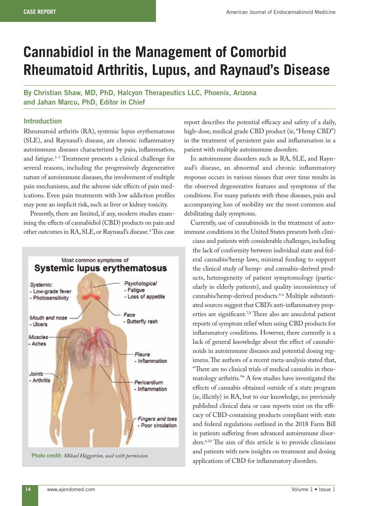# **Cannabidiol in the Management of Comorbid Rheumatoid Arthritis, Lupus, and Raynaud's Disease**

**By Christian Shaw, MD, PhD, Halcyon Therapeutics LLC, Phoenix, Arizona and Jahan Marcu, PhD, Editor in Chief**

#### **Introduction**

Rheumatoid arthritis (RA), systemic lupus erythematosus (SLE), and Raynaud's disease, are chronic inflammatory autoimmune diseases characterized by pain, inflammation, and fatigue.1-3 Treatment presents a clinical challenge for several reasons, including the progressively degenerative nature of autoimmune diseases, the involvement of multiple pain mechanisms, and the adverse side effects of pain medications. Even pain treatments with low addiction profiles may pose an implicit risk, such as liver or kidney toxicity.

Presently, there are limited, if any, modern studies examining the effects of cannabidiol (CBD) products on pain and other outcomes in RA, SLE, or Raynaud's disease. 4 This case



**Photo credit:** *Mikael Häggström, used with permission.*

report describes the potential efficacy and safety of a daily, high-dose, medical grade CBD product (ie, "Hemp CBD") in the treatment of persistent pain and inflammation in a patient with multiple autoimmune disorders.

In autoimmune disorders such as RA, SLE, and Raynaud's disease, an abnormal and chronic inflammatory response occurs in various tissues that over time results in the observed degenerative features and symptoms of the conditions. For many patients with these diseases, pain and accompanying loss of mobility are the most common and debilitating daily symptoms.

Currently, use of cannabinoids in the treatment of autoimmune conditions in the United States presents both clini-

cians and patients with considerable challenges, including the lack of conformity between individual state and federal cannabis/hemp laws, minimal funding to support the clinical study of hemp- and cannabis-derived products, heterogeneity of patient symptomology (particularly in elderly patients), and quality inconsistency of cannabis/hemp-derived products.<sup>4-6</sup> Multiple substantiated sources suggest that CBD's anti-inflammatory properties are significant.7,8 There also are anecdotal patient reports of symptom relief when using CBD products for inflammatory conditions. However, there currently is a lack of general knowledge about the effect of cannabinoids in autoimmune diseases and potential dosing regimens. The authors of a recent meta-analysis stated that, "There are no clinical trials of medical cannabis in rheumatology arthritis."9 A few studies have investigated the effects of cannabis obtained outside of a state program (ie, illicitly) in RA, but to our knowledge, no previously published clinical data or case reports exist on the efficacy of CBD-containing products compliant with state and federal regulations outlined in the 2018 Farm Bill in patients suffering from advanced autoimmune disorders.6,10 The aim of this article is to provide clinicians and patients with new insights on treatment and dosing applications of CBD for inflammatory disorders.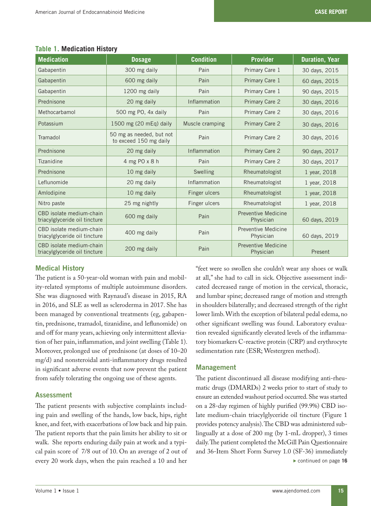| <b>Medication</b>                                         | <b>Dosage</b>                                      | <b>Condition</b>                         | <b>Provider</b>                         | <b>Duration, Year</b> |
|-----------------------------------------------------------|----------------------------------------------------|------------------------------------------|-----------------------------------------|-----------------------|
| Gabapentin                                                | 300 mg daily                                       | Pain                                     | Primary Care 1                          | 30 days, 2015         |
| Gabapentin                                                | 600 mg daily                                       | Pain                                     | Primary Care 1                          | 60 days, 2015         |
| Gabapentin                                                | 1200 mg daily                                      | Pain                                     | Primary Care 1                          | 90 days, 2015         |
| Prednisone                                                | 20 mg daily                                        | Inflammation                             | <b>Primary Care 2</b>                   | 30 days, 2016         |
| Methocarbamol                                             | 500 mg PO, 4x daily                                | Pain                                     | Primary Care 2                          | 30 days, 2016         |
| Potassium                                                 | 1500 mg (20 mEq) daily                             | Muscle cramping                          | <b>Primary Care 2</b>                   | 30 days, 2016         |
| Tramadol                                                  | 50 mg as needed, but not<br>to exceed 150 mg daily | Pain                                     | Primary Care 2                          | 30 days, 2016         |
| Prednisone                                                | 20 mg daily                                        | Inflammation                             | Primary Care 2                          | 90 days, 2017         |
| Tizanidine                                                | 4 mg PO x 8 h                                      | Pain                                     | Primary Care 2                          | 30 days, 2017         |
| Prednisone                                                | 10 mg daily                                        | Swelling                                 | Rheumatologist                          | 1 year, 2018          |
| Leflunomide                                               | 20 mg daily                                        | Inflammation                             | Rheumatologist                          | 1 year, 2018          |
| Amlodipine                                                | 10 mg daily                                        | Finger ulcers                            | Rheumatologist                          | 1 year, 2018          |
| Nitro paste                                               | 25 mg nightly                                      | Finger ulcers                            | Rheumatologist                          | 1 year, 2018          |
| CBD isolate medium-chain<br>triacylglyceride oil tincture | 600 mg daily                                       | Pain                                     | Preventive Medicine<br>Physician        | 60 days, 2019         |
| CBD isolate medium-chain<br>triacylglyceride oil tincture | 400 mg daily                                       | Preventive Medicine<br>Pain<br>Physician |                                         | 60 days, 2019         |
| CBD isolate medium-chain<br>triacylglyceride oil tincture | 200 mg daily                                       | Pain                                     | <b>Preventive Medicine</b><br>Physician | Present               |

# **Table 1. Medication History**

# **Medical History**

The patient is a 50-year-old woman with pain and mobility-related symptoms of multiple autoimmune disorders. She was diagnosed with Raynaud's disease in 2015, RA in 2016, and SLE as well as scleroderma in 2017. She has been managed by conventional treatments (eg, gabapentin, prednisone, tramadol, tizanidine, and leflunomide) on and off for many years, achieving only intermittent alleviation of her pain, inflammation, and joint swelling (Table 1). Moreover, prolonged use of prednisone (at doses of 10–20 mg/d) and nonsteroidal anti-inflammatory drugs resulted in significant adverse events that now prevent the patient from safely tolerating the ongoing use of these agents.

## **Assessment**

The patient presents with subjective complaints including pain and swelling of the hands, low back, hips, right knee, and feet, with exacerbations of low back and hip pain. The patient reports that the pain limits her ability to sit or walk. She reports enduring daily pain at work and a typical pain score of 7/8 out of 10. On an average of 2 out of every 20 work days, when the pain reached a 10 and her

"feet were so swollen she couldn't wear any shoes or walk at all," she had to call in sick. Objective assessment indicated decreased range of motion in the cervical, thoracic, and lumbar spine; decreased range of motion and strength in shoulders bilaterally; and decreased strength of the right lower limb. With the exception of bilateral pedal edema, no other significant swelling was found. Laboratory evaluation revealed significantly elevated levels of the inflammatory biomarkers C-reactive protein (CRP) and erythrocyte sedimentation rate (ESR; Westergren method).

# **Management**

The patient discontinued all disease modifying anti-rheumatic drugs (DMARDs) 2 weeks prior to start of study to ensure an extended washout period occurred. She was started on a 28-day regimen of highly purified (99.9%) CBD isolate medium-chain triacylglyceride oil tincture (Figure 1 provides potency analysis). The CBD was administered sublingually at a dose of 200 mg (by 1-mL dropper), 3 times daily. The patient completed the McGill Pain Questionnaire and 36-Item Short Form Survey 1.0 (SF-36) immediately . continued on page **16**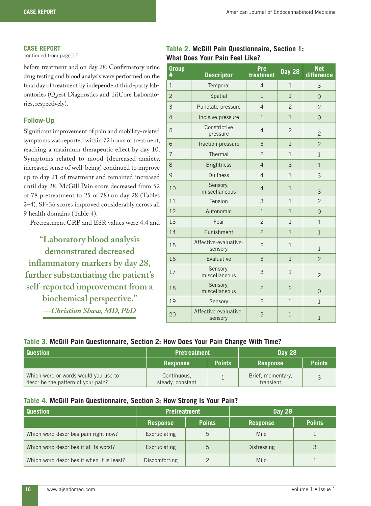#### **CASE REPORT**

continued from page 15

before treatment and on day 28. Confirmatory urine drug testing and blood analysis were performed on the final day of treatment by independent third-party laboratories (Quest Diagnostics and TriCore Laboratories, respectively).

## **Follow-Up**

Significant improvement of pain and mobility-related symptoms was reported within 72 hours of treatment, reaching a maximum therapeutic effect by day 10. Symptoms related to mood (decreased anxiety, increased sense of well-being) continued to improve up to day 21 of treatment and remained increased until day 28. McGill Pain score decreased from 52 of 78 pretreatment to 25 of 78) on day 28 (Tables 2–4). SF-36 scores improved considerably across all 9 health domains (Table 4).

Pretreatment CRP and ESR values were 4.4 and

**"Laboratory blood analysis demonstrated decreased inflammatory markers by day 28, further substantiating the patient's self-reported improvement from a biochemical perspective."** *—Christian Shaw, MD, PhD*

# **Table 2. McGill Pain Questionnaire, Section 1: What Does Your Pain Feel Like?**

| <b>Group</b><br># | <b>Descriptor</b>                | Pre<br>treatment | <b>Day 28</b>  | <b>Net</b><br>difference |
|-------------------|----------------------------------|------------------|----------------|--------------------------|
| $\mathbf{1}$      | Temporal                         | $\overline{4}$   | $\mathbf{1}$   | 3                        |
| $\overline{2}$    | Spatial                          | $\mathbf{1}$     | $\mathbf{1}$   | $\overline{O}$           |
| 3                 | Punctate pressure                | $\overline{4}$   | $\overline{2}$ | $\overline{2}$           |
| $\overline{4}$    | Incisive pressure                | $\mathbf{1}$     | $\mathbf{1}$   | $\overline{0}$           |
| 5                 | Constrictive<br>pressure         | $\overline{4}$   | $\overline{2}$ | $\overline{2}$           |
| 6                 | Traction pressure                | 3                | $\mathbf{1}$   | $\overline{2}$           |
| $\overline{7}$    | Thermal                          | $\overline{2}$   | $\mathbf{1}$   | $\mathbf{1}$             |
| 8                 | <b>Brightness</b>                | $\overline{4}$   | 3              | $\mathbf{1}$             |
| 9                 | <b>Dullness</b>                  | $\overline{4}$   | $\mathbf{1}$   | 3                        |
| 10                | Sensory,<br>miscellaneous        | $\overline{4}$   | $\mathbf{1}$   | 3                        |
| 11                | Tension                          | 3                | $\mathbf{1}$   | $\overline{2}$           |
| 12                | Autonomic                        | $\mathbf{1}$     | $\mathbf{1}$   | $\Omega$                 |
| 13                | Fear                             | $\overline{2}$   | $\mathbf{1}$   | $\mathbf{1}$             |
| 14                | Punishment                       | $\overline{2}$   | $\mathbf{1}$   | $\mathbf{1}$             |
| 15                | Affective-evaluative-<br>sensory | $\overline{c}$   | $\mathbf{1}$   | $\mathbf{1}$             |
| 16                | Evaluative                       | 3                | $\mathbf{1}$   | $\overline{2}$           |
| 17                | Sensory,<br>miscellaneous        | 3                | $1\,$          | $\overline{2}$           |
| 18                | Sensory,<br>miscellaneous        | $\overline{2}$   | $\overline{2}$ | $\overline{0}$           |
| 19                | Sensory                          | $\overline{2}$   | $\mathbf{1}$   | $\mathbf{1}$             |
| 20                | Affective-evaluative-<br>sensory | $\overline{2}$   | $\mathbf{1}$   | $\mathbf{1}$             |

### **Table 3. McGill Pain Questionnaire, Section 2: How Does Your Pain Change With Time?**

| <b>Question</b>                                                            | <b>Pretreatment</b>             |               | <b>Day 28</b>                  |               |
|----------------------------------------------------------------------------|---------------------------------|---------------|--------------------------------|---------------|
|                                                                            | <b>Response</b>                 | <b>Points</b> | <b>Response</b>                | <b>Points</b> |
| Which word or words would you use to<br>describe the pattern of your pain? | Continuous,<br>steady, constant |               | Brief, momentary,<br>transient |               |

## **Table 4. McGill Pain Questionnaire, Section 3: How Strong Is Your Pain?**

| <b>Question</b>                           | Pretreatment    |               | <b>Day 28</b>   |               |
|-------------------------------------------|-----------------|---------------|-----------------|---------------|
|                                           | <b>Response</b> | <b>Points</b> | <b>Response</b> | <b>Points</b> |
| Which word describes pain right now?      | Excruciating    | 5             | Mild            |               |
| Which word describes it at its worst?     | Excruciating    | 5             | Distressing     |               |
| Which word describes it when it is least? | Discomforting   |               | Mild            |               |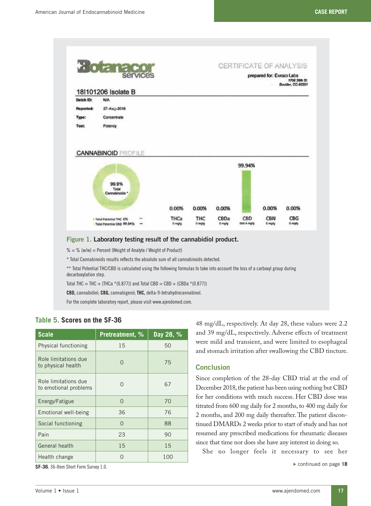

 $% =$  % (w/w) = Percent (Weight of Analyte / Weight of Product)

\* Total Cannabinoids results reflects the absolute sum of all cannabinoids detected.

\*\* Total Potential THC/CBD is calculated using the following formulas to take into account the loss of a carboxyl group during decarboxylation step.

Total THC = THC + (THCa  $*(0.877)$ ) and Total CBD = CBD + (CBDa  $*(0.877)$ )

**CBD,** cannabidiol; **CBG,** cannabigerol; **THC,** delta-9-tetrahydrocannabinol.

For the complete laboratory report, please visit www.ajendomed.com.

| <b>Scale</b>                                  | <b>Pretreatment, %</b> | Day 28, % |  |
|-----------------------------------------------|------------------------|-----------|--|
| Physical functioning                          | 15                     | 50        |  |
| Role limitations due<br>to physical health    | ∩                      | 75        |  |
| Role limitations due<br>to emotional problems | $\cap$                 | 67        |  |
| Energy/Fatigue                                | $\Omega$               | 70        |  |
| Emotional well-being                          | 36                     | 76        |  |
| Social functioning                            | $\Omega$               | 88        |  |
| Pain                                          | 23                     | 90        |  |
| General health                                | 15                     | 15        |  |
| Health change                                 | ∩                      | 100       |  |

## **Table 5. Scores on the SF-36**

**SF-36**, 36-Item Short Form Survey 1.0.

48 mg/dL, respectively. At day 28, these values were 2.2 and 39 mg/dL, respectively. Adverse effects of treatment were mild and transient, and were limited to esophageal and stomach irritation after swallowing the CBD tincture.

#### **Conclusion**

Since completion of the 28-day CBD trial at the end of December 2018, the patient has been using nothing but CBD for her conditions with much success. Her CBD dose was titrated from 600 mg daily for 2 months, to 400 mg daily for 2 months, and 200 mg daily thereafter. The patient discontinued DMARDs 2 weeks prior to start of study and has not resumed any prescribed medications for rheumatic diseases since that time nor does she have any interest in doing so.

She no longer feels it necessary to see her

. continued on page **18**